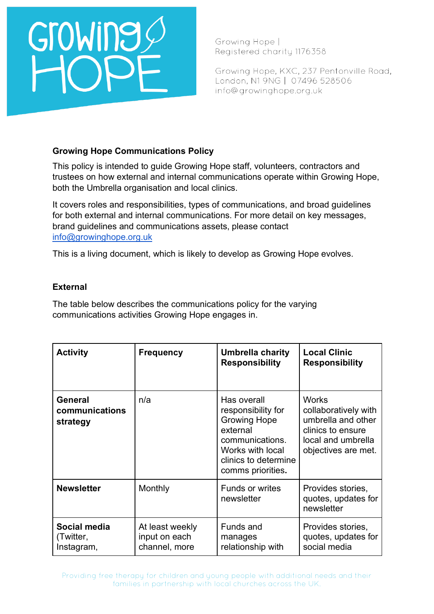# **Growing**

Growing Hope | Registered charity 1176358

Growing Hope, KXC, 237 Pentonville Road, London, N1 9NG | 07496 528506 info@growinghope.org.uk

### **Growing Hope Communications Policy**

This policy is intended to guide Growing Hope staff, volunteers, contractors and trustees on how external and internal communications operate within Growing Hope, both the Umbrella organisation and local clinics.

It covers roles and responsibilities, types of communications, and broad guidelines for both external and internal communications. For more detail on key messages, brand guidelines and communications assets, please contact [info@growinghope.org.uk](mailto:info@growinghope.org.uk)

This is a living document, which is likely to develop as Growing Hope evolves.

### **External**

The table below describes the communications policy for the varying communications activities Growing Hope engages in.

| <b>Activity</b>                              | <b>Frequency</b>                                  | Umbrella charity<br><b>Responsibility</b>                                                                                                                | <b>Local Clinic</b><br><b>Responsibility</b>                                                                                 |
|----------------------------------------------|---------------------------------------------------|----------------------------------------------------------------------------------------------------------------------------------------------------------|------------------------------------------------------------------------------------------------------------------------------|
| <b>General</b><br>communications<br>strategy | n/a                                               | Has overall<br>responsibility for<br><b>Growing Hope</b><br>external<br>communications.<br>Works with local<br>clinics to determine<br>comms priorities. | <b>Works</b><br>collaboratively with<br>umbrella and other<br>clinics to ensure<br>local and umbrella<br>objectives are met. |
| <b>Newsletter</b>                            | Monthly                                           | <b>Funds or writes</b><br>newsletter                                                                                                                     | Provides stories,<br>quotes, updates for<br>newsletter                                                                       |
| Social media<br>(Twitter,<br>Instagram,      | At least weekly<br>input on each<br>channel, more | Funds and<br>manages<br>relationship with                                                                                                                | Provides stories,<br>quotes, updates for<br>social media                                                                     |

Providing free therapy for children and young people with additional needs and their families in partnership with local churches across the UK.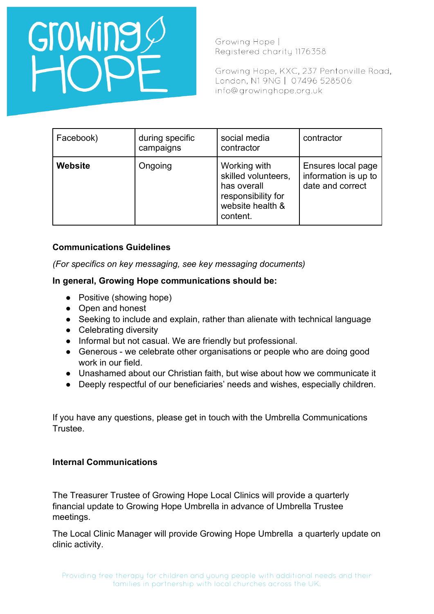## Growing

Growing Hope | Registered charity 1176358

Growing Hope, KXC, 237 Pentonville Road, London, N1 9NG | 07496 528506 info@growinghope.org.uk

| Facebook)      | during specific<br>campaigns | social media<br>contractor                                                                               | contractor                                                     |
|----------------|------------------------------|----------------------------------------------------------------------------------------------------------|----------------------------------------------------------------|
| <b>Website</b> | Ongoing                      | Working with<br>skilled volunteers,<br>has overall<br>responsibility for<br>website health &<br>content. | Ensures local page<br>information is up to<br>date and correct |

## **Communications Guidelines**

*(For specifics on key messaging, see key messaging documents)* 

### **In general, Growing Hope communications should be:**

- Positive (showing hope)
- Open and honest
- Seeking to include and explain, rather than alienate with technical language
- Celebrating diversity
- Informal but not casual. We are friendly but professional.
- Generous we celebrate other organisations or people who are doing good work in our field.
- Unashamed about our Christian faith, but wise about how we communicate it
- Deeply respectful of our beneficiaries' needs and wishes, especially children.

If you have any questions, please get in touch with the Umbrella Communications Trustee.

### **Internal Communications**

The Treasurer Trustee of Growing Hope Local Clinics will provide a quarterly financial update to Growing Hope Umbrella in advance of Umbrella Trustee meetings.

The Local Clinic Manager will provide Growing Hope Umbrella a quarterly update on clinic activity.